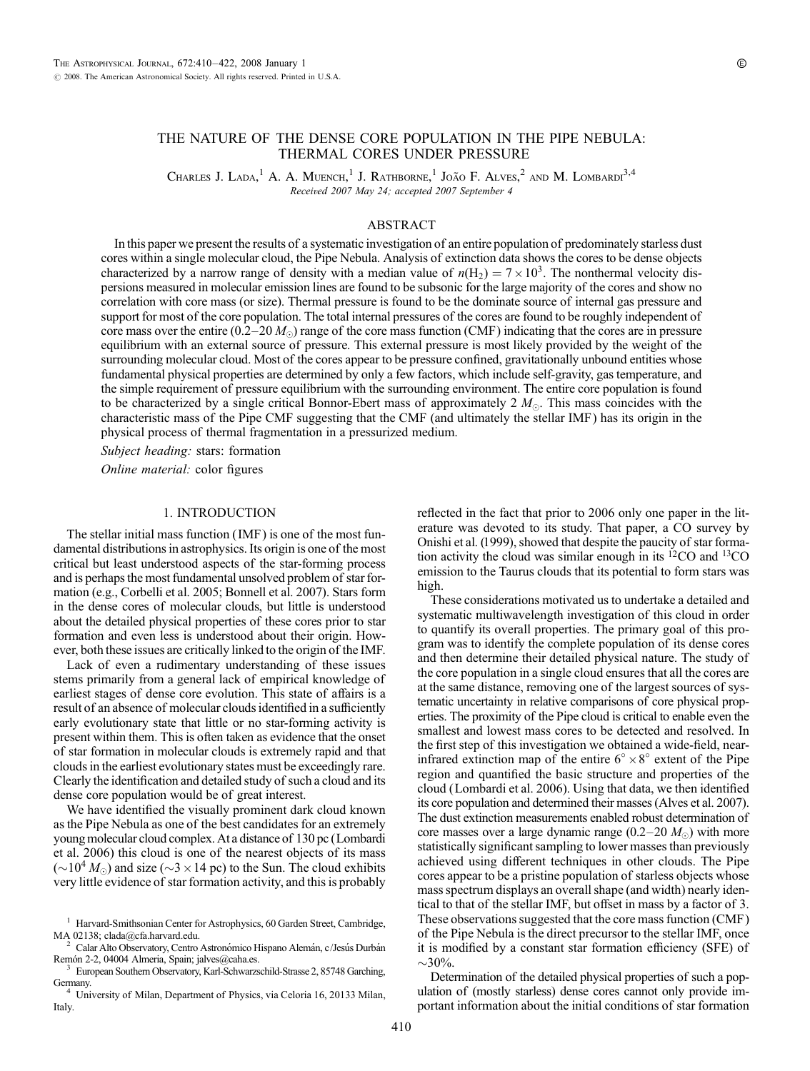# THE NATURE OF THE DENSE CORE POPULATION IN THE PIPE NEBULA: THERMAL CORES UNDER PRESSURE

CHARLES J. LADA,<sup>1</sup> A. A. MUENCH,<sup>1</sup> J. RATHBORNE,<sup>1</sup> JOÃO F. ALVES,<sup>2</sup> AND M. LOMBARDI<sup>3,4</sup> Received 2007 May 24; accepted 2007 September 4

# ABSTRACT

In this paper we present the results of a systematic investigation of an entire population of predominately starless dust cores within a single molecular cloud, the Pipe Nebula. Analysis of extinction data shows the cores to be dense objects characterized by a narrow range of density with a median value of  $n(H_2) = 7 \times 10^3$ . The nonthermal velocity dispersions measured in molecular emission lines are found to be subsonic for the large majority of the cores and show no correlation with core mass (or size). Thermal pressure is found to be the dominate source of internal gas pressure and support for most of the core population. The total internal pressures of the cores are found to be roughly independent of core mass over the entire  $(0.2-20 M_{\odot})$  range of the core mass function (CMF) indicating that the cores are in pressure equilibrium with an external source of pressure. This external pressure is most likely provided by the weight of the surrounding molecular cloud. Most of the cores appear to be pressure confined, gravitationally unbound entities whose fundamental physical properties are determined by only a few factors, which include self-gravity, gas temperature, and the simple requirement of pressure equilibrium with the surrounding environment. The entire core population is found to be characterized by a single critical Bonnor-Ebert mass of approximately  $2 M_{\odot}$ . This mass coincides with the characteristic mass of the Pipe CMF suggesting that the CMF (and ultimately the stellar IMF) has its origin in the physical process of thermal fragmentation in a pressurized medium.

Subject heading: stars: formation

Online material: color figures

### 1. INTRODUCTION

The stellar initial mass function ( IMF ) is one of the most fundamental distributions in astrophysics. Its origin is one of the most critical but least understood aspects of the star-forming process and is perhaps the most fundamental unsolved problem of star formation (e.g., Corbelli et al. 2005; Bonnell et al. 2007). Stars form in the dense cores of molecular clouds, but little is understood about the detailed physical properties of these cores prior to star formation and even less is understood about their origin. However, both these issues are critically linked to the origin of the IMF.

Lack of even a rudimentary understanding of these issues stems primarily from a general lack of empirical knowledge of earliest stages of dense core evolution. This state of affairs is a result of an absence of molecular clouds identified in a sufficiently early evolutionary state that little or no star-forming activity is present within them. This is often taken as evidence that the onset of star formation in molecular clouds is extremely rapid and that clouds in the earliest evolutionary states must be exceedingly rare. Clearly the identification and detailed study of such a cloud and its dense core population would be of great interest.

We have identified the visually prominent dark cloud known as the Pipe Nebula as one of the best candidates for an extremely young molecular cloud complex. At a distance of 130 pc (Lombardi et al. 2006) this cloud is one of the nearest objects of its mass  $({\sim}10^4 M_{\odot})$  and size ( ${\sim}3 \times 14$  pc) to the Sun. The cloud exhibits very little evidence of star formation activity, and this is probably

reflected in the fact that prior to 2006 only one paper in the literature was devoted to its study. That paper, a CO survey by Onishi et al. (1999), showed that despite the paucity of star formation activity the cloud was similar enough in its  ${}^{12}CO$  and  ${}^{13}CO$ emission to the Taurus clouds that its potential to form stars was high.

These considerations motivated us to undertake a detailed and systematic multiwavelength investigation of this cloud in order to quantify its overall properties. The primary goal of this program was to identify the complete population of its dense cores and then determine their detailed physical nature. The study of the core population in a single cloud ensures that all the cores are at the same distance, removing one of the largest sources of systematic uncertainty in relative comparisons of core physical properties. The proximity of the Pipe cloud is critical to enable even the smallest and lowest mass cores to be detected and resolved. In the first step of this investigation we obtained a wide-field, nearinfrared extinction map of the entire  $6^\circ \times 8^\circ$  extent of the Pipe region and quantified the basic structure and properties of the cloud (Lombardi et al. 2006). Using that data, we then identified its core population and determined their masses (Alves et al. 2007). The dust extinction measurements enabled robust determination of core masses over a large dynamic range  $(0.2-20 M_{\odot})$  with more statistically significant sampling to lower masses than previously achieved using different techniques in other clouds. The Pipe cores appear to be a pristine population of starless objects whose mass spectrum displays an overall shape (and width) nearly identical to that of the stellar IMF, but offset in mass by a factor of 3. These observations suggested that the core mass function (CMF ) of the Pipe Nebula is the direct precursor to the stellar IMF, once it is modified by a constant star formation efficiency (SFE) of  $\sim$ 30%.

Determination of the detailed physical properties of such a population of (mostly starless) dense cores cannot only provide important information about the initial conditions of star formation

<sup>&</sup>lt;sup>1</sup> Harvard-Smithsonian Center for Astrophysics, 60 Garden Street, Cambridge, MA 02138; clada@cfa.harvard.edu.<br><sup>2</sup> Calar Alto Observatory Centre Astronómias Uiceae - Alexán. (5 - C. D. 17)

Calar Alto Observatory, Centro Astronómico Hispano Alemán, c/Jesús Durbán Remón 2-2, 04004 Almeria, Spain; jalves@caha.es. 3 European Southern Observatory, Karl-Schwarzschild-Strasse 2, 85748 Garching,

Germany. <sup>4</sup> University of Milan, Department of Physics, via Celoria 16, 20133 Milan,

Italy.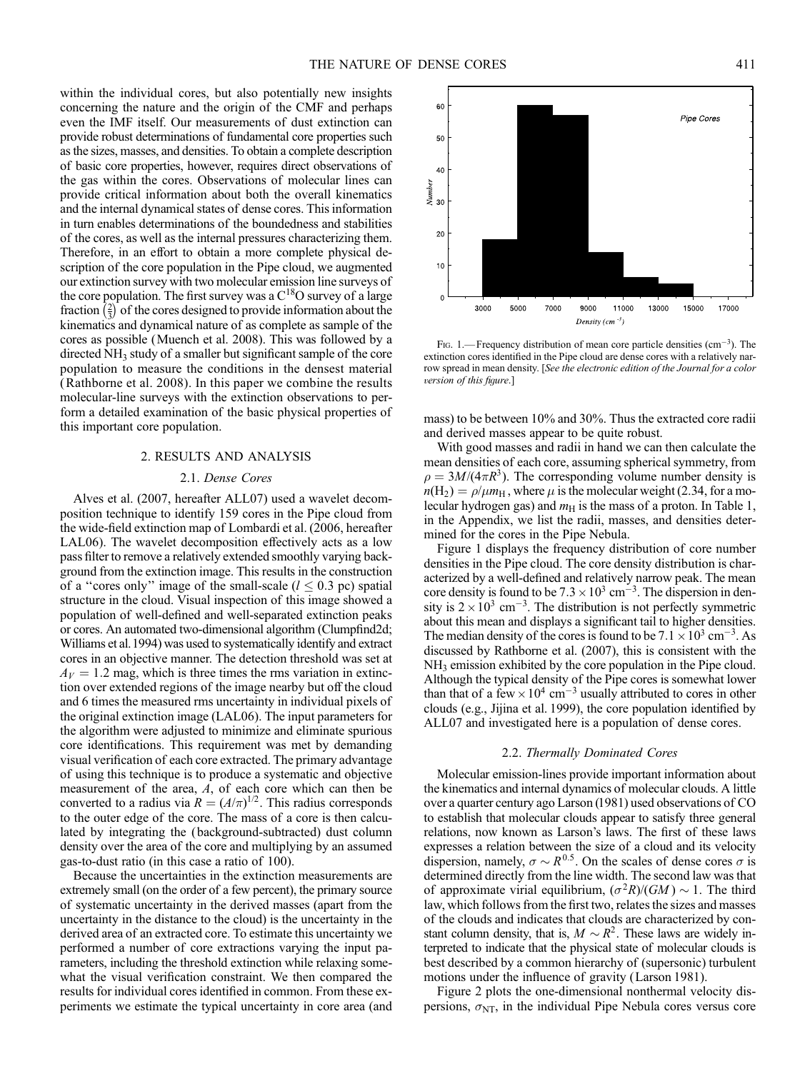within the individual cores, but also potentially new insights concerning the nature and the origin of the CMF and perhaps even the IMF itself. Our measurements of dust extinction can provide robust determinations of fundamental core properties such as the sizes, masses, and densities. To obtain a complete description of basic core properties, however, requires direct observations of the gas within the cores. Observations of molecular lines can provide critical information about both the overall kinematics and the internal dynamical states of dense cores. This information in turn enables determinations of the boundedness and stabilities of the cores, as well as the internal pressures characterizing them. Therefore, in an effort to obtain a more complete physical description of the core population in the Pipe cloud, we augmented our extinction survey with two molecular emission line surveys of the core population. The first survey was a  $C^{18}O$  survey of a large the core possible  $\frac{2}{3}$  $\phi$ ) of the cores designed to provide information about the kinematics and dynamical nature of as complete as sample of the cores as possible (Muench et al. 2008). This was followed by a directed  $NH<sub>3</sub>$  study of a smaller but significant sample of the core population to measure the conditions in the densest material (Rathborne et al. 2008). In this paper we combine the results molecular-line surveys with the extinction observations to perform a detailed examination of the basic physical properties of this important core population.

## 2. RESULTS AND ANALYSIS

### 2.1. Dense Cores

Alves et al. (2007, hereafter ALL07) used a wavelet decomposition technique to identify 159 cores in the Pipe cloud from the wide-field extinction map of Lombardi et al. (2006, hereafter LAL06). The wavelet decomposition effectively acts as a low pass filter to remove a relatively extended smoothly varying background from the extinction image. This results in the construction of a "cores only" image of the small-scale ( $l \leq 0.3$  pc) spatial structure in the cloud. Visual inspection of this image showed a population of well-defined and well-separated extinction peaks or cores. An automated two-dimensional algorithm (Clumpfind2d; Williams et al.1994) was used to systematically identify and extract cores in an objective manner. The detection threshold was set at  $A_V = 1.2$  mag, which is three times the rms variation in extinction over extended regions of the image nearby but off the cloud and 6 times the measured rms uncertainty in individual pixels of the original extinction image (LAL06). The input parameters for the algorithm were adjusted to minimize and eliminate spurious core identifications. This requirement was met by demanding visual verification of each core extracted. The primary advantage of using this technique is to produce a systematic and objective measurement of the area, A, of each core which can then be converted to a radius via  $R = (A/\pi)^{1/2}$ . This radius corresponds to the outer edge of the core. The mass of a core is then calculated by integrating the (background-subtracted) dust column density over the area of the core and multiplying by an assumed gas-to-dust ratio (in this case a ratio of 100).

Because the uncertainties in the extinction measurements are extremely small (on the order of a few percent), the primary source of systematic uncertainty in the derived masses (apart from the uncertainty in the distance to the cloud) is the uncertainty in the derived area of an extracted core. To estimate this uncertainty we performed a number of core extractions varying the input parameters, including the threshold extinction while relaxing somewhat the visual verification constraint. We then compared the results for individual cores identified in common. From these experiments we estimate the typical uncertainty in core area (and



FIG. 1.—Frequency distribution of mean core particle densities  $\rm (cm^{-3})$ . The extinction cores identified in the Pipe cloud are dense cores with a relatively narrow spread in mean density. [See the electronic edition of the Journal for a color version of this figure.]

mass) to be between 10% and 30%. Thus the extracted core radii and derived masses appear to be quite robust.

With good masses and radii in hand we can then calculate the mean densities of each core, assuming spherical symmetry, from  $\rho = 3M/(4\pi R^3)$ . The corresponding volume number density is  $n(\text{H}_2) = \rho/\mu m_\text{H}$ , where  $\mu$  is the molecular weight (2.34, for a molecular hydrogen gas) and  $m<sub>H</sub>$  is the mass of a proton. In Table 1, in the Appendix, we list the radii, masses, and densities determined for the cores in the Pipe Nebula.

Figure 1 displays the frequency distribution of core number densities in the Pipe cloud. The core density distribution is characterized by a well-defined and relatively narrow peak. The mean core density is found to be  $7.3 \times 10^3$  cm<sup>-3</sup>. The dispersion in density is  $2 \times 10^3$  cm<sup>-3</sup>. The distribution is not perfectly symmetric about this mean and displays a significant tail to higher densities. The median density of the cores is found to be  $7.1 \times 10^3$  cm<sup>-3</sup>. As discussed by Rathborne et al. (2007), this is consistent with the NH3 emission exhibited by the core population in the Pipe cloud. Although the typical density of the Pipe cores is somewhat lower than that of a few  $\times 10^4$  cm<sup>-3</sup> usually attributed to cores in other clouds (e.g., Jijina et al. 1999), the core population identified by ALL07 and investigated here is a population of dense cores.

#### 2.2. Thermally Dominated Cores

Molecular emission-lines provide important information about the kinematics and internal dynamics of molecular clouds. A little over a quarter century ago Larson (1981) used observations of CO to establish that molecular clouds appear to satisfy three general relations, now known as Larson's laws. The first of these laws expresses a relation between the size of a cloud and its velocity dispersion, namely,  $\sigma \sim R^{0.5}$ . On the scales of dense cores  $\sigma$  is determined directly from the line width. The second law was that of approximate virial equilibrium,  $(\sigma^2 R)/(GM) \sim 1$ . The third law, which follows from the first two, relates the sizes and masses of the clouds and indicates that clouds are characterized by constant column density, that is,  $M \sim R^2$ . These laws are widely interpreted to indicate that the physical state of molecular clouds is best described by a common hierarchy of (supersonic) turbulent motions under the influence of gravity (Larson 1981).

Figure 2 plots the one-dimensional nonthermal velocity dispersions,  $\sigma_{NT}$ , in the individual Pipe Nebula cores versus core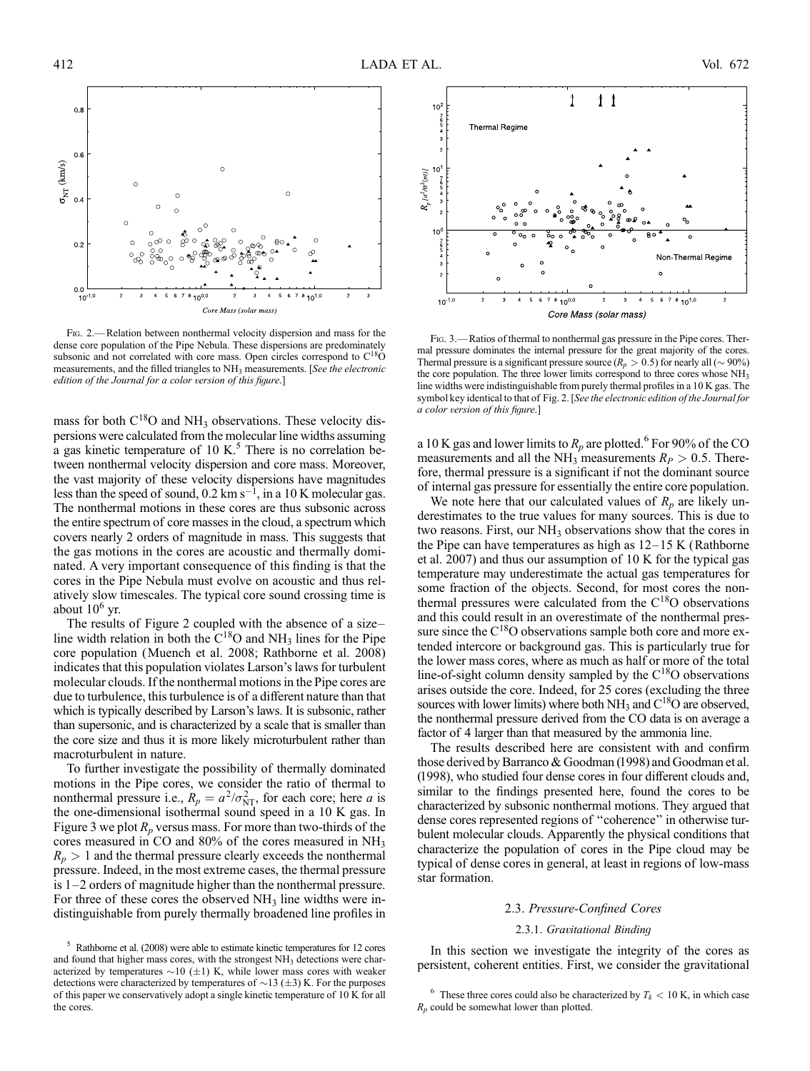

Fig. 2.—Relation between nonthermal velocity dispersion and mass for the dense core population of the Pipe Nebula. These dispersions are predominately subsonic and not correlated with core mass. Open circles correspond to  $C^{18}O$ measurements, and the filled triangles to NH<sub>3</sub> measurements. [See the electronic edition of the Journal for a color version of this figure.]

mass for both  $C^{18}O$  and  $NH_3$  observations. These velocity dispersions were calculated from the molecular line widths assuming a gas kinetic temperature of 10 K.<sup>5</sup> There is no correlation between nonthermal velocity dispersion and core mass. Moreover, the vast majority of these velocity dispersions have magnitudes less than the speed of sound,  $0.2 \text{ km s}^{-1}$ , in a 10 K molecular gas. The nonthermal motions in these cores are thus subsonic across the entire spectrum of core masses in the cloud, a spectrum which covers nearly 2 orders of magnitude in mass. This suggests that the gas motions in the cores are acoustic and thermally dominated. A very important consequence of this finding is that the cores in the Pipe Nebula must evolve on acoustic and thus relatively slow timescales. The typical core sound crossing time is about  $10^6$  yr.

The results of Figure 2 coupled with the absence of a sizeline width relation in both the  $C^{18}O$  and NH<sub>3</sub> lines for the Pipe core population (Muench et al. 2008; Rathborne et al. 2008) indicates that this population violates Larson's laws for turbulent molecular clouds. If the nonthermal motions in the Pipe cores are due to turbulence, this turbulence is of a different nature than that which is typically described by Larson's laws. It is subsonic, rather than supersonic, and is characterized by a scale that is smaller than the core size and thus it is more likely microturbulent rather than macroturbulent in nature.

To further investigate the possibility of thermally dominated motions in the Pipe cores, we consider the ratio of thermal to nonthermal pressure i.e.,  $R_p = a^2/\sigma_{NT}^2$ , for each core; here a is the one-dimensional isothermal sound speed in a 10 K gas. In Figure 3 we plot  $R_p$  versus mass. For more than two-thirds of the cores measured in CO and 80% of the cores measured in NH3  $R_p > 1$  and the thermal pressure clearly exceeds the nonthermal pressure. Indeed, in the most extreme cases, the thermal pressure is  $1-2$  orders of magnitude higher than the nonthermal pressure. For three of these cores the observed  $NH<sub>3</sub>$  line widths were indistinguishable from purely thermally broadened line profiles in



Fig. 3.—Ratios of thermal to nonthermal gas pressure in the Pipe cores. Thermal pressure dominates the internal pressure for the great majority of the cores. Thermal pressure is a significant pressure source ( $R_p > 0.5$ ) for nearly all ( $\sim 90\%$ ) the core population. The three lower limits correspond to three cores whose NH<sub>3</sub> line widths were indistinguishable from purely thermal profiles in a 10 K gas. The symbol key identical to that of Fig. 2. [See the electronic edition of the Journal for a color version of this figure.]

a 10 K gas and lower limits to  $R_p$  are plotted.<sup>6</sup> For 90% of the CO measurements and all the NH<sub>3</sub> measurements  $R_P > 0.5$ . Therefore, thermal pressure is a significant if not the dominant source of internal gas pressure for essentially the entire core population.

We note here that our calculated values of  $R_p$  are likely underestimates to the true values for many sources. This is due to two reasons. First, our  $NH<sub>3</sub>$  observations show that the cores in the Pipe can have temperatures as high as  $12-15$  K (Rathborne et al. 2007) and thus our assumption of 10 K for the typical gas temperature may underestimate the actual gas temperatures for some fraction of the objects. Second, for most cores the nonthermal pressures were calculated from the  $C^{18}O$  observations and this could result in an overestimate of the nonthermal pressure since the  $C^{18}O$  observations sample both core and more extended intercore or background gas. This is particularly true for the lower mass cores, where as much as half or more of the total line-of-sight column density sampled by the  $C^{18}O$  observations arises outside the core. Indeed, for 25 cores (excluding the three sources with lower limits) where both NH<sub>3</sub> and  $C^{18}O$  are observed, the nonthermal pressure derived from the CO data is on average a factor of 4 larger than that measured by the ammonia line.

The results described here are consistent with and confirm those derived by Barranco & Goodman (1998) and Goodman et al. (1998), who studied four dense cores in four different clouds and, similar to the findings presented here, found the cores to be characterized by subsonic nonthermal motions. They argued that dense cores represented regions of ''coherence'' in otherwise turbulent molecular clouds. Apparently the physical conditions that characterize the population of cores in the Pipe cloud may be typical of dense cores in general, at least in regions of low-mass star formation.

## 2.3. Pressure-Confined Cores

#### 2.3.1. Gravitational Binding

In this section we investigate the integrity of the cores as persistent, coherent entities. First, we consider the gravitational

<sup>5</sup> Rathborne et al. (2008) were able to estimate kinetic temperatures for 12 cores and found that higher mass cores, with the strongest  $NH<sub>3</sub>$  detections were characterized by temperatures  $\sim$ 10 ( $\pm$ 1) K, while lower mass cores with weaker detections were characterized by temperatures of  $\sim$ 13 ( $\pm$ 3) K. For the purposes of this paper we conservatively adopt a single kinetic temperature of 10 K for all the cores.

<sup>&</sup>lt;sup>6</sup> These three cores could also be characterized by  $T_k < 10$  K, in which case  $R_p$  could be somewhat lower than plotted.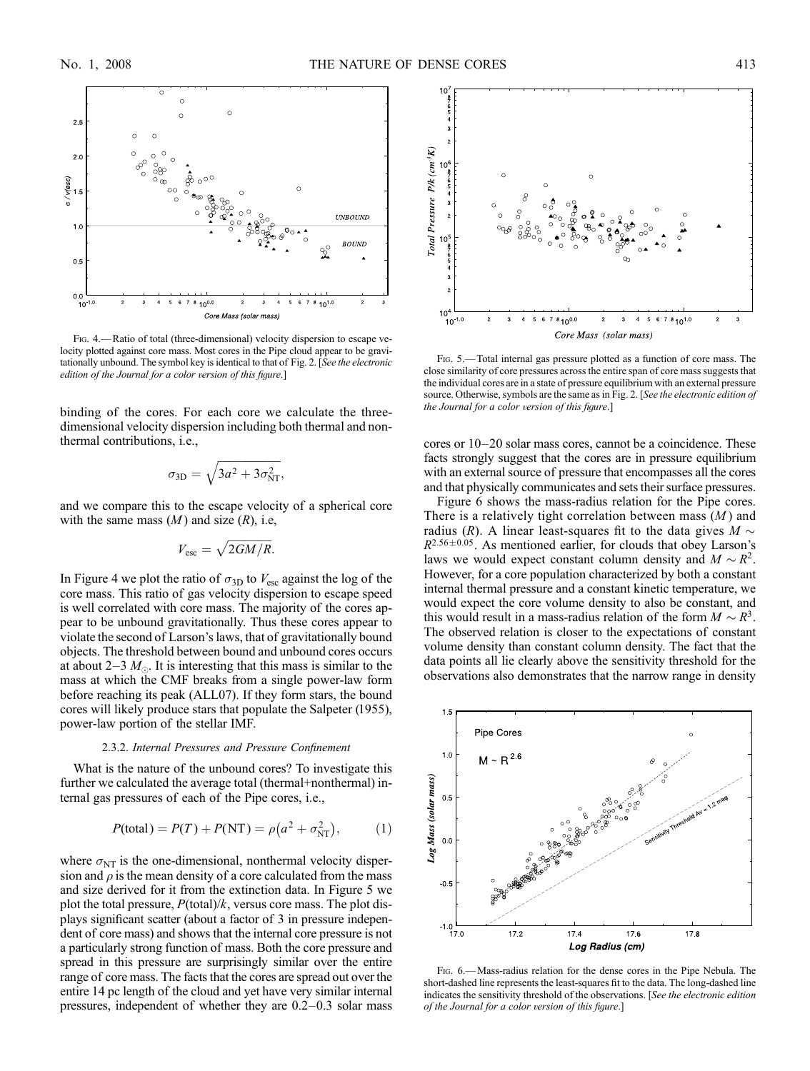

Fig. 4.—Ratio of total (three-dimensional) velocity dispersion to escape velocity plotted against core mass. Most cores in the Pipe cloud appear to be gravitationally unbound. The symbol key is identical to that of Fig. 2. [See the electronic edition of the Journal for a color version of this figure.]

binding of the cores. For each core we calculate the threedimensional velocity dispersion including both thermal and nonthermal contributions, i.e.,

$$
\sigma_{3D} = \sqrt{3a^2 + 3\sigma_{NT}^2},
$$

and we compare this to the escape velocity of a spherical core with the same mass  $(M)$  and size  $(R)$ , i.e,

$$
V_{\rm esc} = \sqrt{2GM/R}.
$$

In Figure 4 we plot the ratio of  $\sigma_{3D}$  to  $V_{\text{esc}}$  against the log of the core mass. This ratio of gas velocity dispersion to escape speed is well correlated with core mass. The majority of the cores appear to be unbound gravitationally. Thus these cores appear to violate the second of Larson's laws, that of gravitationally bound objects. The threshold between bound and unbound cores occurs at about 2-3  $M_{\odot}$ . It is interesting that this mass is similar to the mass at which the CMF breaks from a single power-law form before reaching its peak (ALL07). If they form stars, the bound cores will likely produce stars that populate the Salpeter (1955), power-law portion of the stellar IMF.

#### 2.3.2. Internal Pressures and Pressure Confinement

What is the nature of the unbound cores? To investigate this further we calculated the average total (thermal+nonthermal) internal gas pressures of each of the Pipe cores, i.e.,

$$
P(\text{total}) = P(T) + P(\text{NT}) = \rho(a^2 + \sigma_{\text{NT}}^2),
$$
 (1)

where  $\sigma_{NT}$  is the one-dimensional, nonthermal velocity dispersion and  $\rho$  is the mean density of a core calculated from the mass and size derived for it from the extinction data. In Figure 5 we plot the total pressure,  $P(\text{total})/k$ , versus core mass. The plot displays significant scatter (about a factor of 3 in pressure independent of core mass) and shows that the internal core pressure is not a particularly strong function of mass. Both the core pressure and spread in this pressure are surprisingly similar over the entire range of core mass. The facts that the cores are spread out over the entire 14 pc length of the cloud and yet have very similar internal pressures, independent of whether they are  $0.2-0.3$  solar mass



Fig. 5.— Total internal gas pressure plotted as a function of core mass. The close similarity of core pressures across the entire span of core mass suggests that the individual cores are in a state of pressure equilibrium with an external pressure source. Otherwise, symbols are the same as in Fig. 2. [See the electronic edition of the Journal for a color version of this figure.]

cores or  $10-20$  solar mass cores, cannot be a coincidence. These facts strongly suggest that the cores are in pressure equilibrium with an external source of pressure that encompasses all the cores and that physically communicates and sets their surface pressures.

Figure 6 shows the mass-radius relation for the Pipe cores. There is a relatively tight correlation between mass  $(M)$  and radius (R). A linear least-squares fit to the data gives  $M \sim$  $R^{2.56\pm0.05}$ . As mentioned earlier, for clouds that obey Larson's laws we would expect constant column density and  $M \sim R^2$ . However, for a core population characterized by both a constant internal thermal pressure and a constant kinetic temperature, we would expect the core volume density to also be constant, and this would result in a mass-radius relation of the form  $M \sim R^3$ . The observed relation is closer to the expectations of constant volume density than constant column density. The fact that the data points all lie clearly above the sensitivity threshold for the observations also demonstrates that the narrow range in density



Fig. 6.—Mass-radius relation for the dense cores in the Pipe Nebula. The short-dashed line represents the least-squares fit to the data. The long-dashed line indicates the sensitivity threshold of the observations. [See the electronic edition of the Journal for a color version of this figure.]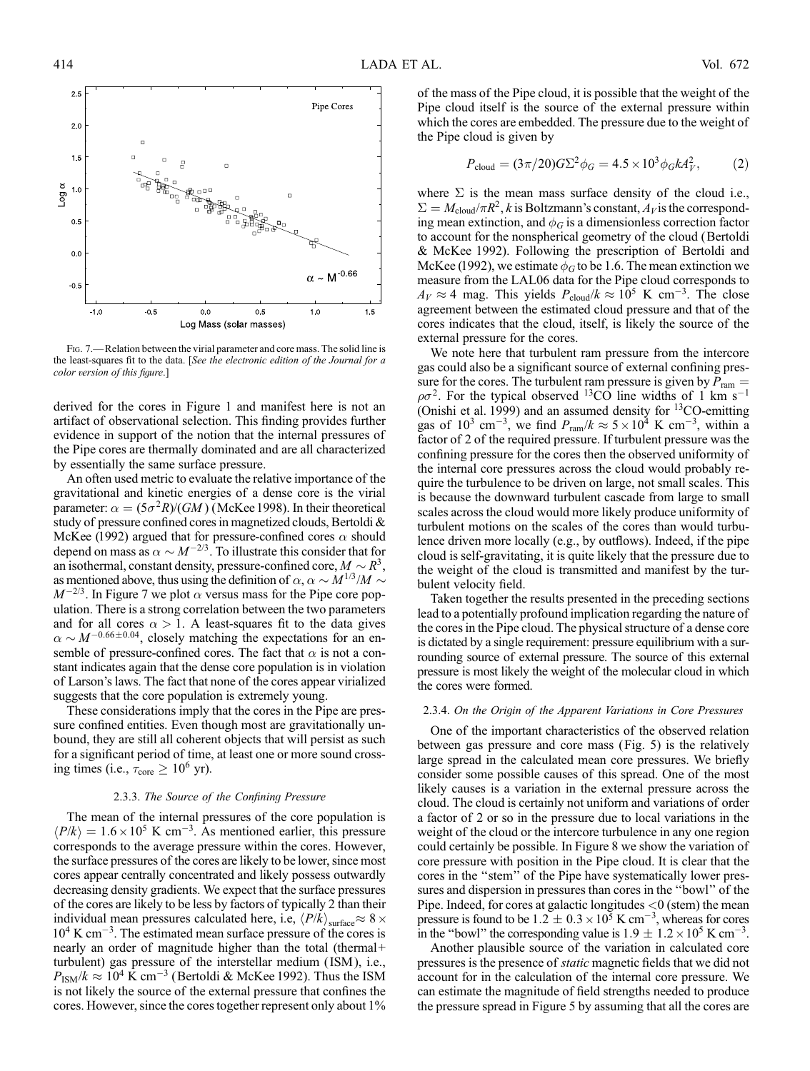

Fig. 7.—Relation between the virial parameter and core mass. The solid line is the least-squares fit to the data. [See the electronic edition of the Journal for a color version of this figure.]

derived for the cores in Figure 1 and manifest here is not an artifact of observational selection. This finding provides further evidence in support of the notion that the internal pressures of the Pipe cores are thermally dominated and are all characterized by essentially the same surface pressure.

An often used metric to evaluate the relative importance of the gravitational and kinetic energies of a dense core is the virial parameter:  $\alpha = (5\sigma^2R)/(GM)$  (McKee 1998). In their theoretical study of pressure confined cores in magnetized clouds, Bertoldi & McKee (1992) argued that for pressure-confined cores  $\alpha$  should depend on mass as  $\alpha \sim M^{-2/3}$ . To illustrate this consider that for an isothermal, constant density, pressure-confined core,  $M \sim R^3$ , as mentioned above, thus using the definition of  $\alpha, \alpha \sim M^{1/3}/M \sim$  $M^{-2/3}$ . In Figure 7 we plot  $\alpha$  versus mass for the Pipe core population. There is a strong correlation between the two parameters and for all cores  $\alpha > 1$ . A least-squares fit to the data gives  $\alpha \sim M^{-0.66 \pm 0.04}$ , closely matching the expectations for an ensemble of pressure-confined cores. The fact that  $\alpha$  is not a constant indicates again that the dense core population is in violation of Larson's laws. The fact that none of the cores appear virialized suggests that the core population is extremely young.

These considerations imply that the cores in the Pipe are pressure confined entities. Even though most are gravitationally unbound, they are still all coherent objects that will persist as such for a significant period of time, at least one or more sound crossing times (i.e.,  $\tau_{\text{core}} \ge 10^6$  yr).

#### 2.3.3. The Source of the Confining Pressure

The mean of the internal pressures of the core population is  $\langle P/k \rangle = 1.6 \times 10^5$  K cm<sup>-3</sup>. As mentioned earlier, this pressure corresponds to the average pressure within the cores. However, the surface pressures of the cores are likely to be lower, since most cores appear centrally concentrated and likely possess outwardly decreasing density gradients. We expect that the surface pressures of the cores are likely to be less by factors of typically 2 than their individual mean pressures calculated here, i.e,  $\langle P/k \rangle_{\text{surface}} \approx 8 \times$  $10^4$  K cm<sup>-3</sup>. The estimated mean surface pressure of the cores is nearly an order of magnitude higher than the total (thermal+ turbulent) gas pressure of the interstellar medium (ISM), i.e.,  $P_{\text{ISM}}/k \approx 10^4 \text{ K cm}^{-3}$  (Bertoldi & McKee 1992). Thus the ISM is not likely the source of the external pressure that confines the cores. However, since the cores together represent only about 1%

of the mass of the Pipe cloud, it is possible that the weight of the Pipe cloud itself is the source of the external pressure within which the cores are embedded. The pressure due to the weight of the Pipe cloud is given by

$$
P_{\text{cloud}} = (3\pi/20)G\Sigma^2 \phi_G = 4.5 \times 10^3 \phi_G k A_V^2, \tag{2}
$$

where  $\Sigma$  is the mean mass surface density of the cloud i.e.,  $\Sigma = M_{\rm cloud}/\pi R^2$ , k is Boltzmann's constant,  $A_V$  is the corresponding mean extinction, and  $\phi_G$  is a dimensionless correction factor to account for the nonspherical geometry of the cloud (Bertoldi & McKee 1992). Following the prescription of Bertoldi and McKee (1992), we estimate  $\phi_G$  to be 1.6. The mean extinction we measure from the LAL06 data for the Pipe cloud corresponds to  $A_V \approx 4$  mag. This yields  $P_{\text{cloud}}/k \approx 10^5$  K cm<sup>-3</sup>. The close agreement between the estimated cloud pressure and that of the cores indicates that the cloud, itself, is likely the source of the external pressure for the cores.

We note here that turbulent ram pressure from the intercore gas could also be a significant source of external confining pressure for the cores. The turbulent ram pressure is given by  $P_{\text{ram}} =$  $\rho \sigma^2$ . For the typical observed <sup>13</sup>CO line widths of 1 km s<sup>-1</sup> (Onishi et al. 1999) and an assumed density for 13CO-emitting gas of 10<sup>3</sup> cm<sup>-3</sup>, we find  $P_{\text{ram}}/k \approx 5 \times 10^4$  K cm<sup>-3</sup>, within a factor of 2 of the required pressure. If turbulent pressure was the confining pressure for the cores then the observed uniformity of the internal core pressures across the cloud would probably require the turbulence to be driven on large, not small scales. This is because the downward turbulent cascade from large to small scales across the cloud would more likely produce uniformity of turbulent motions on the scales of the cores than would turbulence driven more locally (e.g., by outflows). Indeed, if the pipe cloud is self-gravitating, it is quite likely that the pressure due to the weight of the cloud is transmitted and manifest by the turbulent velocity field.

Taken together the results presented in the preceding sections lead to a potentially profound implication regarding the nature of the cores in the Pipe cloud. The physical structure of a dense core is dictated by a single requirement: pressure equilibrium with a surrounding source of external pressure. The source of this external pressure is most likely the weight of the molecular cloud in which the cores were formed.

### 2.3.4. On the Origin of the Apparent Variations in Core Pressures

One of the important characteristics of the observed relation between gas pressure and core mass (Fig. 5) is the relatively large spread in the calculated mean core pressures. We briefly consider some possible causes of this spread. One of the most likely causes is a variation in the external pressure across the cloud. The cloud is certainly not uniform and variations of order a factor of 2 or so in the pressure due to local variations in the weight of the cloud or the intercore turbulence in any one region could certainly be possible. In Figure 8 we show the variation of core pressure with position in the Pipe cloud. It is clear that the cores in the ''stem'' of the Pipe have systematically lower pressures and dispersion in pressures than cores in the ''bowl'' of the Pipe. Indeed, for cores at galactic longitudes  $\langle 0 \rangle$  (stem) the mean pressure is found to be  $1.2 \pm 0.3 \times 10^5$  K cm<sup>-3</sup>, whereas for cores in the "bowl" the corresponding value is  $1.9 \pm 1.2 \times 10^5$  K cm<sup>-3</sup>.

Another plausible source of the variation in calculated core pressures is the presence of static magnetic fields that we did not account for in the calculation of the internal core pressure. We can estimate the magnitude of field strengths needed to produce the pressure spread in Figure 5 by assuming that all the cores are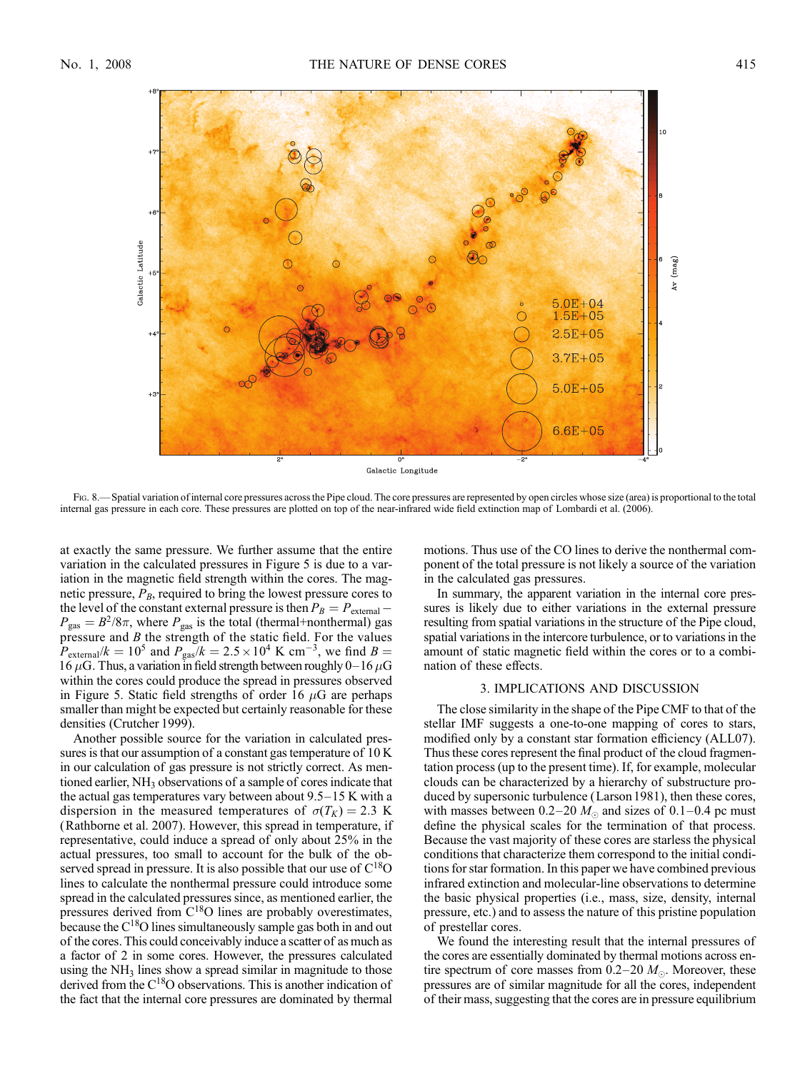

Galactic Longitude

Fig. 8.—Spatial variation of internal core pressures across the Pipe cloud. The core pressures are represented by open circles whose size (area) is proportional to the total internal gas pressure in each core. These pressures are plotted on top of the near-infrared wide field extinction map of Lombardi et al. (2006).

at exactly the same pressure. We further assume that the entire variation in the calculated pressures in Figure 5 is due to a variation in the magnetic field strength within the cores. The magnetic pressure,  $P_B$ , required to bring the lowest pressure cores to the level of the constant external pressure is then  $P_B = P_{\text{external}} P_{\text{gas}} = B^2/8\pi$ , where  $P_{\text{gas}}$  is the total (thermal+nonthermal) gas pressure and  $\overline{B}$  the strength of the static field. For the values  $P_{\text{external}}/k = 10^5$  and  $P_{\text{gas}}/k = 2.5 \times 10^4$  K cm<sup>-3</sup>, we find B = 16  $\mu$ G. Thus, a variation in field strength between roughly 0–16  $\mu$ G within the cores could produce the spread in pressures observed in Figure 5. Static field strengths of order 16  $\mu$ G are perhaps smaller than might be expected but certainly reasonable for these densities (Crutcher 1999).

Another possible source for the variation in calculated pressures is that our assumption of a constant gas temperature of 10 K in our calculation of gas pressure is not strictly correct. As mentioned earlier, NH<sub>3</sub> observations of a sample of cores indicate that the actual gas temperatures vary between about  $9.5-15$  K with a dispersion in the measured temperatures of  $\sigma(T_K) = 2.3$  K (Rathborne et al. 2007). However, this spread in temperature, if representative, could induce a spread of only about 25% in the actual pressures, too small to account for the bulk of the observed spread in pressure. It is also possible that our use of  $C^{18}O$ lines to calculate the nonthermal pressure could introduce some spread in the calculated pressures since, as mentioned earlier, the pressures derived from  $C^{18}O$  lines are probably overestimates, because the  $C^{18}O$  lines simultaneously sample gas both in and out of the cores. This could conceivably induce a scatter of as much as a factor of 2 in some cores. However, the pressures calculated using the NH<sub>3</sub> lines show a spread similar in magnitude to those derived from the C<sup>18</sup>O observations. This is another indication of the fact that the internal core pressures are dominated by thermal motions. Thus use of the CO lines to derive the nonthermal component of the total pressure is not likely a source of the variation in the calculated gas pressures.

In summary, the apparent variation in the internal core pressures is likely due to either variations in the external pressure resulting from spatial variations in the structure of the Pipe cloud, spatial variations in the intercore turbulence, or to variations in the amount of static magnetic field within the cores or to a combination of these effects.

## 3. IMPLICATIONS AND DISCUSSION

The close similarity in the shape of the Pipe CMF to that of the stellar IMF suggests a one-to-one mapping of cores to stars, modified only by a constant star formation efficiency (ALL07). Thus these cores represent the final product of the cloud fragmentation process (up to the present time). If, for example, molecular clouds can be characterized by a hierarchy of substructure produced by supersonic turbulence (Larson 1981), then these cores, with masses between 0.2-20  $M_{\odot}$  and sizes of 0.1-0.4 pc must define the physical scales for the termination of that process. Because the vast majority of these cores are starless the physical conditions that characterize them correspond to the initial conditions for star formation. In this paper we have combined previous infrared extinction and molecular-line observations to determine the basic physical properties (i.e., mass, size, density, internal pressure, etc.) and to assess the nature of this pristine population of prestellar cores.

We found the interesting result that the internal pressures of the cores are essentially dominated by thermal motions across entire spectrum of core masses from 0.2–20  $M_{\odot}$ . Moreover, these pressures are of similar magnitude for all the cores, independent of their mass, suggesting that the cores are in pressure equilibrium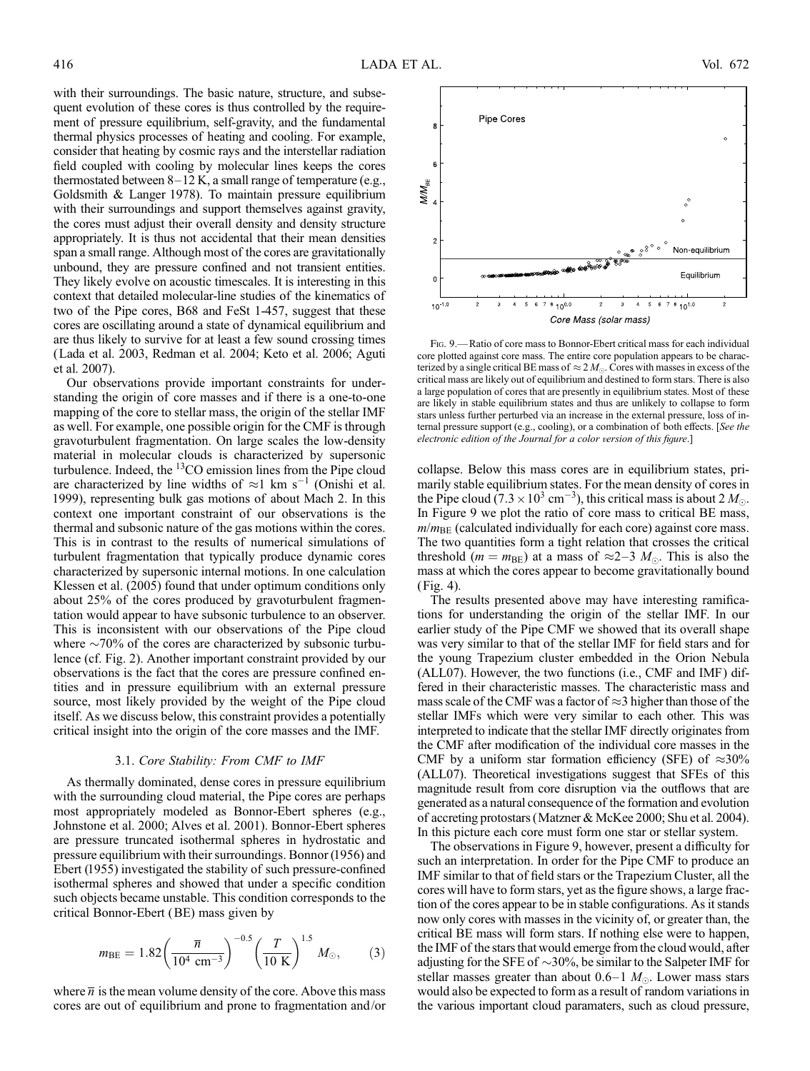with their surroundings. The basic nature, structure, and subsequent evolution of these cores is thus controlled by the requirement of pressure equilibrium, self-gravity, and the fundamental thermal physics processes of heating and cooling. For example, consider that heating by cosmic rays and the interstellar radiation field coupled with cooling by molecular lines keeps the cores thermostated between  $8-12$  K, a small range of temperature (e.g., Goldsmith & Langer 1978). To maintain pressure equilibrium with their surroundings and support themselves against gravity, the cores must adjust their overall density and density structure appropriately. It is thus not accidental that their mean densities span a small range. Although most of the cores are gravitationally unbound, they are pressure confined and not transient entities. They likely evolve on acoustic timescales. It is interesting in this context that detailed molecular-line studies of the kinematics of two of the Pipe cores, B68 and FeSt 1-457, suggest that these cores are oscillating around a state of dynamical equilibrium and are thus likely to survive for at least a few sound crossing times (Lada et al. 2003, Redman et al. 2004; Keto et al. 2006; Aguti et al. 2007).

Our observations provide important constraints for understanding the origin of core masses and if there is a one-to-one mapping of the core to stellar mass, the origin of the stellar IMF as well. For example, one possible origin for the CMF is through gravoturbulent fragmentation. On large scales the low-density material in molecular clouds is characterized by supersonic turbulence. Indeed, the 13CO emission lines from the Pipe cloud are characterized by line widths of  $\approx$ 1 km s<sup>-1</sup> (Onishi et al. 1999), representing bulk gas motions of about Mach 2. In this context one important constraint of our observations is the thermal and subsonic nature of the gas motions within the cores. This is in contrast to the results of numerical simulations of turbulent fragmentation that typically produce dynamic cores characterized by supersonic internal motions. In one calculation Klessen et al. (2005) found that under optimum conditions only about 25% of the cores produced by gravoturbulent fragmentation would appear to have subsonic turbulence to an observer. This is inconsistent with our observations of the Pipe cloud where  $\sim$ 70% of the cores are characterized by subsonic turbulence (cf. Fig. 2). Another important constraint provided by our observations is the fact that the cores are pressure confined entities and in pressure equilibrium with an external pressure source, most likely provided by the weight of the Pipe cloud itself. As we discuss below, this constraint provides a potentially critical insight into the origin of the core masses and the IMF.

#### 3.1. Core Stability: From CMF to IMF

As thermally dominated, dense cores in pressure equilibrium with the surrounding cloud material, the Pipe cores are perhaps most appropriately modeled as Bonnor-Ebert spheres (e.g., Johnstone et al. 2000; Alves et al. 2001). Bonnor-Ebert spheres are pressure truncated isothermal spheres in hydrostatic and pressure equilibrium with their surroundings. Bonnor (1956) and Ebert (1955) investigated the stability of such pressure-confined isothermal spheres and showed that under a specific condition such objects became unstable. This condition corresponds to the critical Bonnor-Ebert (BE) mass given by

$$
m_{\text{BE}} = 1.82 \left(\frac{\overline{n}}{10^4 \text{ cm}^{-3}}\right)^{-0.5} \left(\frac{T}{10 \text{ K}}\right)^{1.5} M_{\odot},\tag{3}
$$

where  $\overline{n}$  is the mean volume density of the core. Above this mass cores are out of equilibrium and prone to fragmentation and/or



Fig. 9.—Ratio of core mass to Bonnor-Ebert critical mass for each individual core plotted against core mass. The entire core population appears to be characterized by a single critical BE mass of  $\approx 2 M_{\odot}$ . Cores with masses in excess of the critical mass are likely out of equilibrium and destined to form stars. There is also a large population of cores that are presently in equilibrium states. Most of these are likely in stable equilibrium states and thus are unlikely to collapse to form stars unless further perturbed via an increase in the external pressure, loss of internal pressure support (e.g., cooling), or a combination of both effects. [See the electronic edition of the Journal for a color version of this figure.]

collapse. Below this mass cores are in equilibrium states, primarily stable equilibrium states. For the mean density of cores in the Pipe cloud (7.3  $\times$  10<sup>3</sup> cm<sup>-3</sup>), this critical mass is about 2  $M_{\odot}$ . In Figure 9 we plot the ratio of core mass to critical BE mass,  $m/m<sub>BE</sub>$  (calculated individually for each core) against core mass. The two quantities form a tight relation that crosses the critical threshold ( $m = m_{BE}$ ) at a mass of  $\approx 2-3$   $M_{\odot}$ . This is also the mass at which the cores appear to become gravitationally bound (Fig. 4).

The results presented above may have interesting ramifications for understanding the origin of the stellar IMF. In our earlier study of the Pipe CMF we showed that its overall shape was very similar to that of the stellar IMF for field stars and for the young Trapezium cluster embedded in the Orion Nebula (ALL07). However, the two functions (i.e., CMF and IMF) differed in their characteristic masses. The characteristic mass and mass scale of the CMF was a factor of  $\approx$ 3 higher than those of the stellar IMFs which were very similar to each other. This was interpreted to indicate that the stellar IMF directly originates from the CMF after modification of the individual core masses in the CMF by a uniform star formation efficiency (SFE) of  $\approx 30\%$ (ALL07). Theoretical investigations suggest that SFEs of this magnitude result from core disruption via the outflows that are generated as a natural consequence of the formation and evolution of accreting protostars (Matzner & McKee 2000; Shu et al. 2004). In this picture each core must form one star or stellar system.

The observations in Figure 9, however, present a difficulty for such an interpretation. In order for the Pipe CMF to produce an IMF similar to that of field stars or the Trapezium Cluster, all the cores will have to form stars, yet as the figure shows, a large fraction of the cores appear to be in stable configurations. As it stands now only cores with masses in the vicinity of, or greater than, the critical BE mass will form stars. If nothing else were to happen, the IMF of the stars that would emerge from the cloud would, after adjusting for the SFE of  $\sim$ 30%, be similar to the Salpeter IMF for stellar masses greater than about  $0.6-1$   $M_{\odot}$ . Lower mass stars would also be expected to form as a result of random variations in the various important cloud paramaters, such as cloud pressure,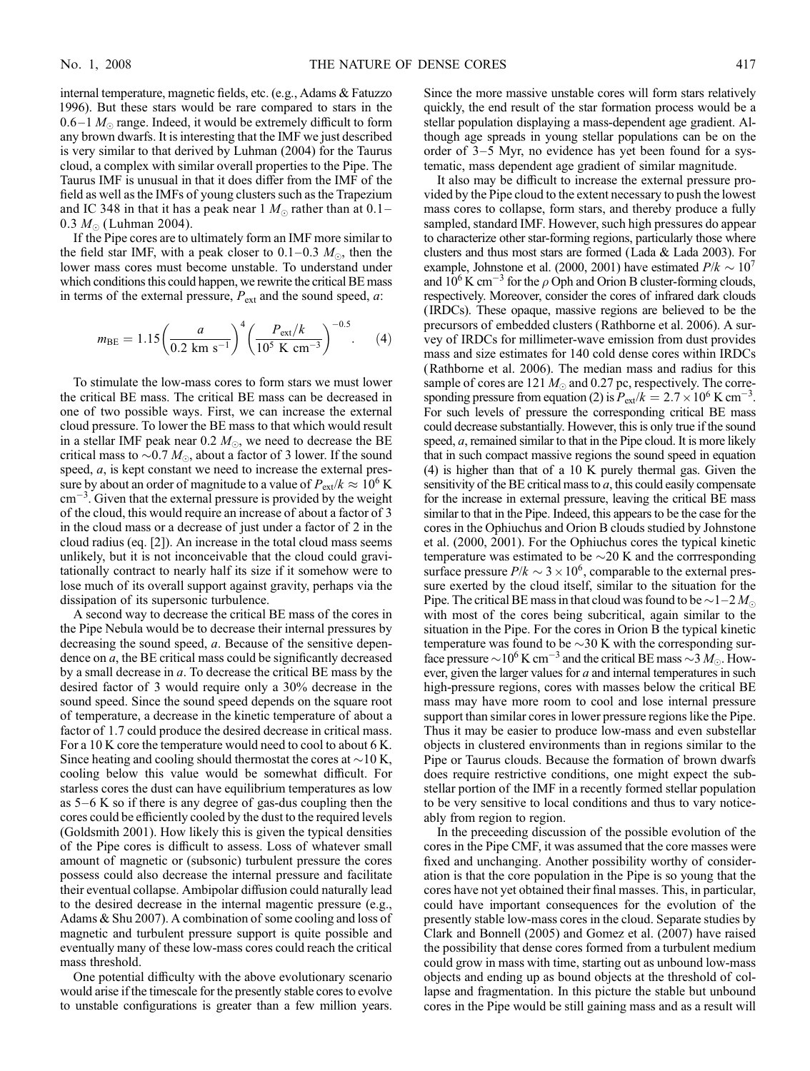internal temperature, magnetic fields, etc. (e.g., Adams & Fatuzzo 1996). But these stars would be rare compared to stars in the  $0.6-1$   $M_{\odot}$  range. Indeed, it would be extremely difficult to form any brown dwarfs. It is interesting that the IMF we just described is very similar to that derived by Luhman (2004) for the Taurus cloud, a complex with similar overall properties to the Pipe. The Taurus IMF is unusual in that it does differ from the IMF of the field as well as the IMFs of young clusters such as the Trapezium and IC 348 in that it has a peak near 1  $M_{\odot}$  rather than at 0.1-0.3  $M_{\odot}$  (Luhman 2004).

If the Pipe cores are to ultimately form an IMF more similar to the field star IMF, with a peak closer to  $0.1-0.3$   $M_{\odot}$ , then the lower mass cores must become unstable. To understand under which conditions this could happen, we rewrite the critical BE mass in terms of the external pressure,  $P_{ext}$  and the sound speed,  $a$ :

$$
m_{\text{BE}} = 1.15 \left( \frac{a}{0.2 \text{ km s}^{-1}} \right)^4 \left( \frac{P_{\text{ext}}/k}{10^5 \text{ K cm}^{-3}} \right)^{-0.5} . \tag{4}
$$

To stimulate the low-mass cores to form stars we must lower the critical BE mass. The critical BE mass can be decreased in one of two possible ways. First, we can increase the external cloud pressure. To lower the BE mass to that which would result in a stellar IMF peak near 0.2  $M_{\odot}$ , we need to decrease the BE critical mass to  ${\sim}0.7\,M_\odot$ , about a factor of 3 lower. If the sound speed, *a*, is kept constant we need to increase the external pressure by about an order of magnitude to a value of  $P_{ext}/k \approx 10^6$  K  $\text{cm}^{-3}$ . Given that the external pressure is provided by the weight of the cloud, this would require an increase of about a factor of 3 in the cloud mass or a decrease of just under a factor of 2 in the cloud radius (eq. [2]). An increase in the total cloud mass seems unlikely, but it is not inconceivable that the cloud could gravitationally contract to nearly half its size if it somehow were to lose much of its overall support against gravity, perhaps via the dissipation of its supersonic turbulence.

A second way to decrease the critical BE mass of the cores in the Pipe Nebula would be to decrease their internal pressures by decreasing the sound speed, a. Because of the sensitive dependence on a, the BE critical mass could be significantly decreased by a small decrease in a. To decrease the critical BE mass by the desired factor of 3 would require only a 30% decrease in the sound speed. Since the sound speed depends on the square root of temperature, a decrease in the kinetic temperature of about a factor of 1.7 could produce the desired decrease in critical mass. For a 10 K core the temperature would need to cool to about 6 K. Since heating and cooling should thermostat the cores at  $\sim$  10 K, cooling below this value would be somewhat difficult. For starless cores the dust can have equilibrium temperatures as low as  $5-6$  K so if there is any degree of gas-dus coupling then the cores could be efficiently cooled by the dust to the required levels (Goldsmith 2001). How likely this is given the typical densities of the Pipe cores is difficult to assess. Loss of whatever small amount of magnetic or (subsonic) turbulent pressure the cores possess could also decrease the internal pressure and facilitate their eventual collapse. Ambipolar diffusion could naturally lead to the desired decrease in the internal magentic pressure (e.g., Adams & Shu 2007). A combination of some cooling and loss of magnetic and turbulent pressure support is quite possible and eventually many of these low-mass cores could reach the critical mass threshold.

One potential difficulty with the above evolutionary scenario would arise if the timescale for the presently stable cores to evolve to unstable configurations is greater than a few million years. Since the more massive unstable cores will form stars relatively quickly, the end result of the star formation process would be a stellar population displaying a mass-dependent age gradient. Although age spreads in young stellar populations can be on the order of  $3-5$  Myr, no evidence has yet been found for a systematic, mass dependent age gradient of similar magnitude.

It also may be difficult to increase the external pressure provided by the Pipe cloud to the extent necessary to push the lowest mass cores to collapse, form stars, and thereby produce a fully sampled, standard IMF. However, such high pressures do appear to characterize other star-forming regions, particularly those where clusters and thus most stars are formed (Lada & Lada 2003). For example, Johnstone et al. (2000, 2001) have estimated  $P/k \sim 10^7$ and  $10^6$  K cm<sup>-3</sup> for the  $\rho$  Oph and Orion B cluster-forming clouds, respectively. Moreover, consider the cores of infrared dark clouds ( IRDCs). These opaque, massive regions are believed to be the precursors of embedded clusters (Rathborne et al. 2006). A survey of IRDCs for millimeter-wave emission from dust provides mass and size estimates for 140 cold dense cores within IRDCs (Rathborne et al. 2006). The median mass and radius for this sample of cores are 121  $M_{\odot}$  and 0.27 pc, respectively. The corresponding pressure from equation (2) is  $P_{ext}/k = 2.7 \times 10^6$  K cm<sup>-3</sup>. For such levels of pressure the corresponding critical BE mass could decrease substantially. However, this is only true if the sound speed,  $a$ , remained similar to that in the Pipe cloud. It is more likely that in such compact massive regions the sound speed in equation (4) is higher than that of a 10 K purely thermal gas. Given the sensitivity of the BE critical mass to  $a$ , this could easily compensate for the increase in external pressure, leaving the critical BE mass similar to that in the Pipe. Indeed, this appears to be the case for the cores in the Ophiuchus and Orion B clouds studied by Johnstone et al. (2000, 2001). For the Ophiuchus cores the typical kinetic temperature was estimated to be  $\sim$ 20 K and the corrresponding surface pressure  $P/k \sim 3 \times 10^6$ , comparable to the external pressure exerted by the cloud itself, similar to the situation for the Pipe. The critical BE mass in that cloud was found to be  $\sim$  1 – 2  $M_{\odot}$ with most of the cores being subcritical, again similar to the situation in the Pipe. For the cores in Orion B the typical kinetic temperature was found to be  $\sim$ 30 K with the corresponding surface pressure  $\sim$  10<sup>6</sup> K cm<sup>-3</sup> and the critical BE mass  $\sim$  3  $M_{\odot}$ . However, given the larger values for a and internal temperatures in such high-pressure regions, cores with masses below the critical BE mass may have more room to cool and lose internal pressure support than similar cores in lower pressure regions like the Pipe. Thus it may be easier to produce low-mass and even substellar objects in clustered environments than in regions similar to the Pipe or Taurus clouds. Because the formation of brown dwarfs does require restrictive conditions, one might expect the substellar portion of the IMF in a recently formed stellar population to be very sensitive to local conditions and thus to vary noticeably from region to region.

In the preceeding discussion of the possible evolution of the cores in the Pipe CMF, it was assumed that the core masses were fixed and unchanging. Another possibility worthy of consideration is that the core population in the Pipe is so young that the cores have not yet obtained their final masses. This, in particular, could have important consequences for the evolution of the presently stable low-mass cores in the cloud. Separate studies by Clark and Bonnell (2005) and Gomez et al. (2007) have raised the possibility that dense cores formed from a turbulent medium could grow in mass with time, starting out as unbound low-mass objects and ending up as bound objects at the threshold of collapse and fragmentation. In this picture the stable but unbound cores in the Pipe would be still gaining mass and as a result will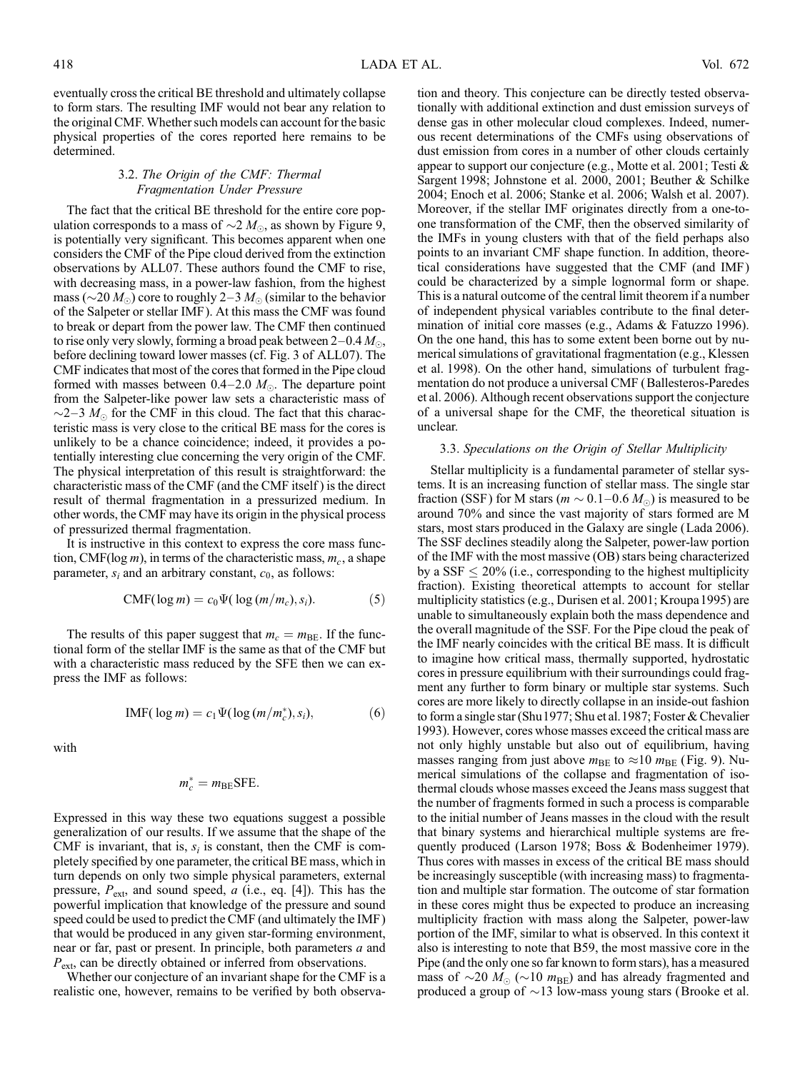eventually cross the critical BE threshold and ultimately collapse to form stars. The resulting IMF would not bear any relation to the original CMF. Whether such models can account for the basic physical properties of the cores reported here remains to be determined.

## 3.2. The Origin of the CMF: Thermal Fragmentation Under Pressure

The fact that the critical BE threshold for the entire core population corresponds to a mass of  $\sim$ 2  $M_{\odot}$ , as shown by Figure 9, is potentially very significant. This becomes apparent when one considers the CMF of the Pipe cloud derived from the extinction observations by ALL07. These authors found the CMF to rise, with decreasing mass, in a power-law fashion, from the highest mass ( $\sim$ 20  $M_{\odot}$ ) core to roughly 2–3  $M_{\odot}$  (similar to the behavior of the Salpeter or stellar IMF ). At this mass the CMF was found to break or depart from the power law. The CMF then continued to rise only very slowly, forming a broad peak between  $2-0.4 M_{\odot}$ , before declining toward lower masses (cf. Fig. 3 of ALL07). The CMF indicates that most of the cores that formed in the Pipe cloud formed with masses between 0.4–2.0  $M_{\odot}$ . The departure point from the Salpeter-like power law sets a characteristic mass of  $\sim$ 2-3  $M_{\odot}$  for the CMF in this cloud. The fact that this characteristic mass is very close to the critical BE mass for the cores is unlikely to be a chance coincidence; indeed, it provides a potentially interesting clue concerning the very origin of the CMF. The physical interpretation of this result is straightforward: the characteristic mass of the CMF (and the CMF itself ) is the direct result of thermal fragmentation in a pressurized medium. In other words, the CMF may have its origin in the physical process of pressurized thermal fragmentation.

It is instructive in this context to express the core mass function, CMF( $log m$ ), in terms of the characteristic mass,  $m_c$ , a shape parameter,  $s_i$  and an arbitrary constant,  $c_0$ , as follows:

$$
CMF(\log m) = c_0 \Psi(\log (m/m_c), s_i). \tag{5}
$$

The results of this paper suggest that  $m_c = m_{\text{BE}}$ . If the functional form of the stellar IMF is the same as that of the CMF but with a characteristic mass reduced by the SFE then we can express the IMF as follows:

$$
IMF(\log m) = c_1 \Psi(\log (m/m_c^*), s_i), \tag{6}
$$

with

$$
m_c^* = m_{\text{BE}} \text{SFE}.
$$

Expressed in this way these two equations suggest a possible generalization of our results. If we assume that the shape of the CMF is invariant, that is,  $s_i$  is constant, then the CMF is completely specified by one parameter, the critical BE mass, which in turn depends on only two simple physical parameters, external pressure,  $P_{ext}$ , and sound speed,  $a$  (i.e., eq. [4]). This has the powerful implication that knowledge of the pressure and sound speed could be used to predict the CMF (and ultimately the IMF ) that would be produced in any given star-forming environment, near or far, past or present. In principle, both parameters a and  $P_{\text{ext}}$ , can be directly obtained or inferred from observations.

Whether our conjecture of an invariant shape for the CMF is a realistic one, however, remains to be verified by both observation and theory. This conjecture can be directly tested observationally with additional extinction and dust emission surveys of dense gas in other molecular cloud complexes. Indeed, numerous recent determinations of the CMFs using observations of dust emission from cores in a number of other clouds certainly appear to support our conjecture (e.g., Motte et al. 2001; Testi & Sargent 1998; Johnstone et al. 2000, 2001; Beuther & Schilke 2004; Enoch et al. 2006; Stanke et al. 2006; Walsh et al. 2007). Moreover, if the stellar IMF originates directly from a one-toone transformation of the CMF, then the observed similarity of the IMFs in young clusters with that of the field perhaps also points to an invariant CMF shape function. In addition, theoretical considerations have suggested that the CMF (and IMF ) could be characterized by a simple lognormal form or shape. This is a natural outcome of the central limit theorem if a number of independent physical variables contribute to the final determination of initial core masses (e.g., Adams & Fatuzzo 1996). On the one hand, this has to some extent been borne out by numerical simulations of gravitational fragmentation (e.g., Klessen et al. 1998). On the other hand, simulations of turbulent fragmentation do not produce a universal CMF (Ballesteros-Paredes et al. 2006). Although recent observations support the conjecture of a universal shape for the CMF, the theoretical situation is unclear.

### 3.3. Speculations on the Origin of Stellar Multiplicity

Stellar multiplicity is a fundamental parameter of stellar systems. It is an increasing function of stellar mass. The single star fraction (SSF) for M stars ( $m \sim 0.1$ –0.6  $M_{\odot}$ ) is measured to be around 70% and since the vast majority of stars formed are M stars, most stars produced in the Galaxy are single (Lada 2006). The SSF declines steadily along the Salpeter, power-law portion of the IMF with the most massive (OB) stars being characterized by a SSF  $\leq$  20% (i.e., corresponding to the highest multiplicity fraction). Existing theoretical attempts to account for stellar multiplicity statistics (e.g., Durisen et al. 2001; Kroupa1995) are unable to simultaneously explain both the mass dependence and the overall magnitude of the SSF. For the Pipe cloud the peak of the IMF nearly coincides with the critical BE mass. It is difficult to imagine how critical mass, thermally supported, hydrostatic cores in pressure equilibrium with their surroundings could fragment any further to form binary or multiple star systems. Such cores are more likely to directly collapse in an inside-out fashion to form a single star (Shu1977; Shu et al.1987; Foster & Chevalier 1993). However, cores whose masses exceed the critical mass are not only highly unstable but also out of equilibrium, having masses ranging from just above  $m<sub>BE</sub>$  to  $\approx 10$   $m<sub>BE</sub>$  (Fig. 9). Numerical simulations of the collapse and fragmentation of isothermal clouds whose masses exceed the Jeans mass suggest that the number of fragments formed in such a process is comparable to the initial number of Jeans masses in the cloud with the result that binary systems and hierarchical multiple systems are frequently produced (Larson 1978; Boss & Bodenheimer 1979). Thus cores with masses in excess of the critical BE mass should be increasingly susceptible (with increasing mass) to fragmentation and multiple star formation. The outcome of star formation in these cores might thus be expected to produce an increasing multiplicity fraction with mass along the Salpeter, power-law portion of the IMF, similar to what is observed. In this context it also is interesting to note that B59, the most massive core in the Pipe (and the only one so far known to form stars), has a measured mass of  $\sim$ 20  $M_{\odot}$  ( $\sim$ 10  $m_{\rm BE}$ ) and has already fragmented and produced a group of  $\sim$ 13 low-mass young stars (Brooke et al.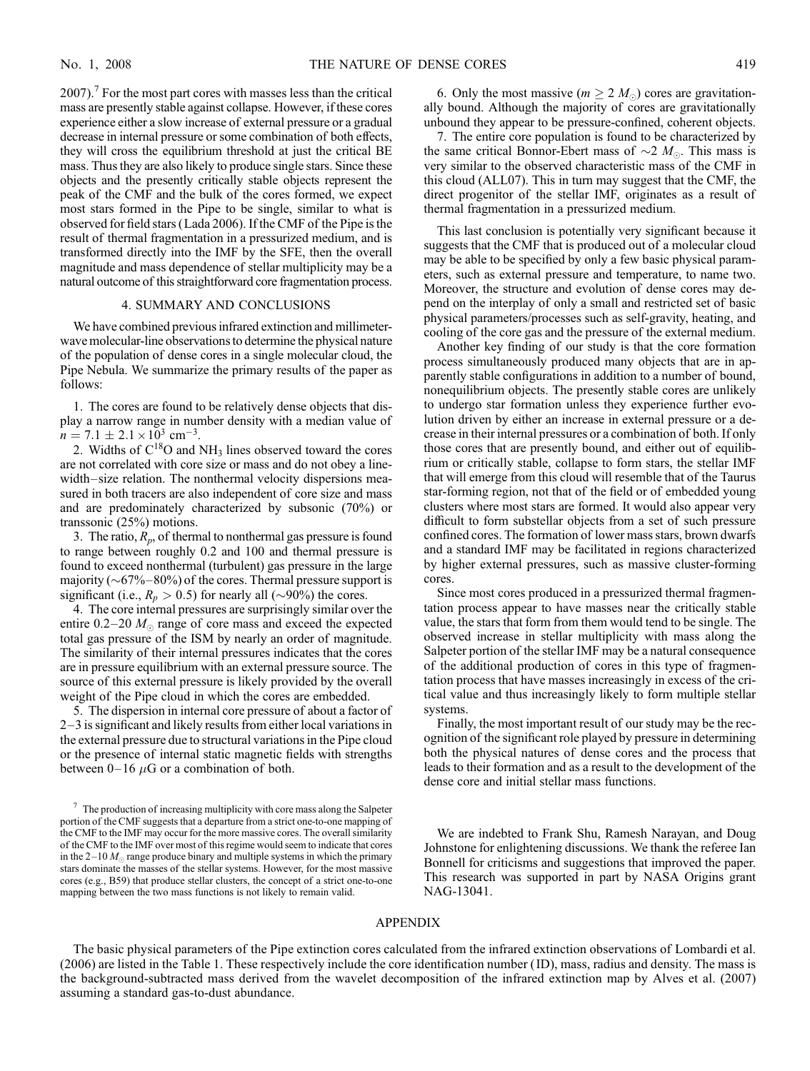$2007$ .<sup>7</sup> For the most part cores with masses less than the critical mass are presently stable against collapse. However, if these cores experience either a slow increase of external pressure or a gradual decrease in internal pressure or some combination of both effects, they will cross the equilibrium threshold at just the critical BE mass. Thus they are also likely to produce single stars. Since these objects and the presently critically stable objects represent the peak of the CMF and the bulk of the cores formed, we expect most stars formed in the Pipe to be single, similar to what is observed for field stars (Lada 2006). If the CMF of the Pipe is the result of thermal fragmentation in a pressurized medium, and is transformed directly into the IMF by the SFE, then the overall magnitude and mass dependence of stellar multiplicity may be a natural outcome of this straightforward core fragmentation process.

## 4. SUMMARY AND CONCLUSIONS

We have combined previous infrared extinction and millimeterwave molecular-line observations to determine the physical nature of the population of dense cores in a single molecular cloud, the Pipe Nebula. We summarize the primary results of the paper as follows:

1. The cores are found to be relatively dense objects that display a narrow range in number density with a median value of  $n = 7.1 \pm 2.1 \times 10^3$  cm<sup>-3</sup>.

2. Widths of  $C^{18}O$  and NH<sub>3</sub> lines observed toward the cores are not correlated with core size or mass and do not obey a linewidth-size relation. The nonthermal velocity dispersions measured in both tracers are also independent of core size and mass and are predominately characterized by subsonic (70%) or transsonic (25%) motions.

3. The ratio,  $R_p$ , of thermal to nonthermal gas pressure is found to range between roughly 0.2 and 100 and thermal pressure is found to exceed nonthermal (turbulent) gas pressure in the large majority ( $\sim$  67%–80%) of the cores. Thermal pressure support is significant (i.e.,  $R_p > 0.5$ ) for nearly all (~90%) the cores.

4. The core internal pressures are surprisingly similar over the entire  $0.2-20$   $M_{\odot}$  range of core mass and exceed the expected total gas pressure of the ISM by nearly an order of magnitude. The similarity of their internal pressures indicates that the cores are in pressure equilibrium with an external pressure source. The source of this external pressure is likely provided by the overall weight of the Pipe cloud in which the cores are embedded.

5. The dispersion in internal core pressure of about a factor of  $2-3$  is significant and likely results from either local variations in the external pressure due to structural variations in the Pipe cloud or the presence of internal static magnetic fields with strengths between  $0-16 \mu G$  or a combination of both.

 $7$  The production of increasing multiplicity with core mass along the Salpeter portion of the CMF suggests that a departure from a strict one-to-one mapping of the CMF to the IMF may occur for the more massive cores. The overall similarity of the CMF to the IMF over most of this regime would seem to indicate that cores in the  $2-10 M_{\odot}$  range produce binary and multiple systems in which the primary stars dominate the masses of the stellar systems. However, for the most massive cores (e.g., B59) that produce stellar clusters, the concept of a strict one-to-one mapping between the two mass functions is not likely to remain valid.

6. Only the most massive ( $m \geq 2$  M<sub>o</sub>) cores are gravitationally bound. Although the majority of cores are gravitationally unbound they appear to be pressure-confined, coherent objects.

7. The entire core population is found to be characterized by the same critical Bonnor-Ebert mass of  $\sim$ 2  $M_{\odot}$ . This mass is very similar to the observed characteristic mass of the CMF in this cloud (ALL07). This in turn may suggest that the CMF, the direct progenitor of the stellar IMF, originates as a result of thermal fragmentation in a pressurized medium.

This last conclusion is potentially very significant because it suggests that the CMF that is produced out of a molecular cloud may be able to be specified by only a few basic physical parameters, such as external pressure and temperature, to name two. Moreover, the structure and evolution of dense cores may depend on the interplay of only a small and restricted set of basic physical parameters/processes such as self-gravity, heating, and cooling of the core gas and the pressure of the external medium.

Another key finding of our study is that the core formation process simultaneously produced many objects that are in apparently stable configurations in addition to a number of bound, nonequilibrium objects. The presently stable cores are unlikely to undergo star formation unless they experience further evolution driven by either an increase in external pressure or a decrease in their internal pressures or a combination of both. If only those cores that are presently bound, and either out of equilibrium or critically stable, collapse to form stars, the stellar IMF that will emerge from this cloud will resemble that of the Taurus star-forming region, not that of the field or of embedded young clusters where most stars are formed. It would also appear very difficult to form substellar objects from a set of such pressure confined cores. The formation of lower mass stars, brown dwarfs and a standard IMF may be facilitated in regions characterized by higher external pressures, such as massive cluster-forming cores.

Since most cores produced in a pressurized thermal fragmentation process appear to have masses near the critically stable value, the stars that form from them would tend to be single. The observed increase in stellar multiplicity with mass along the Salpeter portion of the stellar IMF may be a natural consequence of the additional production of cores in this type of fragmentation process that have masses increasingly in excess of the critical value and thus increasingly likely to form multiple stellar systems.

Finally, the most important result of our study may be the recognition of the significant role played by pressure in determining both the physical natures of dense cores and the process that leads to their formation and as a result to the development of the dense core and initial stellar mass functions.

We are indebted to Frank Shu, Ramesh Narayan, and Doug Johnstone for enlightening discussions. We thank the referee Ian Bonnell for criticisms and suggestions that improved the paper. This research was supported in part by NASA Origins grant NAG-13041.

#### APPENDIX

The basic physical parameters of the Pipe extinction cores calculated from the infrared extinction observations of Lombardi et al. (2006) are listed in the Table 1. These respectively include the core identification number ( ID), mass, radius and density. The mass is the background-subtracted mass derived from the wavelet decomposition of the infrared extinction map by Alves et al. (2007) assuming a standard gas-to-dust abundance.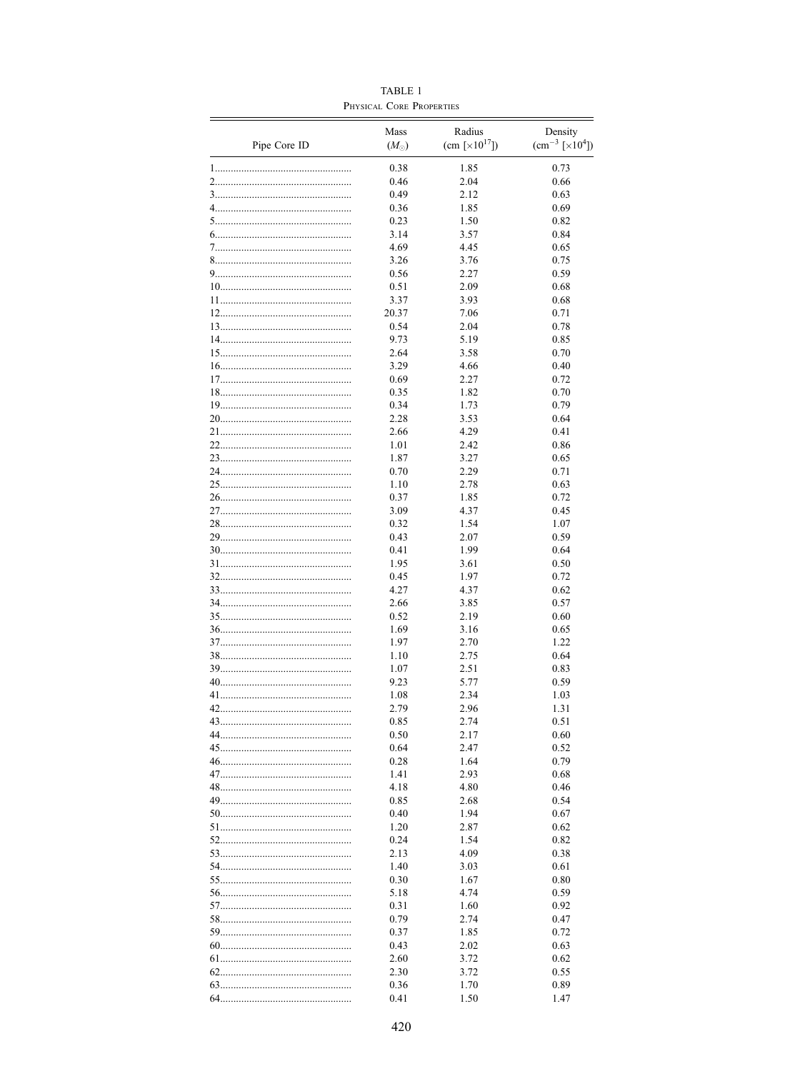| Pipe Core ID | Mass<br>$(M_{\odot})$ | Radius<br>(cm $[x10^{17}]$ ) | Density<br>$\rm (cm^{-3}$ [×10 <sup>4</sup> ]) |
|--------------|-----------------------|------------------------------|------------------------------------------------|
|              | 0.38                  | 1.85                         | 0.73                                           |
|              | 0.46                  | 2.04                         | 0.66                                           |
|              | 0.49                  | 2.12                         | 0.63                                           |
|              | 0.36                  | 1.85                         | 0.69                                           |
|              | 0.23                  | 1.50                         | 0.82                                           |
|              | 3.14                  | 3.57                         | 0.84                                           |
|              | 4.69                  | 4.45                         | 0.65                                           |
|              | 3.26                  | 3.76                         | 0.75                                           |
|              | 0.56                  | 2.27                         | 0.59                                           |
|              | 0.51                  | 2.09                         | 0.68                                           |
|              | 3.37                  | 3.93                         | 0.68                                           |
|              | 20.37                 | 7.06                         | 0.71                                           |
|              | 0.54                  | 2.04                         | 0.78                                           |
|              | 9.73                  | 5.19                         | 0.85                                           |
|              | 2.64                  | 3.58                         | 0.70                                           |
|              | 3.29                  | 4.66                         | 0.40                                           |
|              | 0.69                  | 2.27                         | 0.72                                           |
|              | 0.35                  | 1.82                         | 0.70                                           |
|              | 0.34                  | 1.73                         | 0.79                                           |
|              | 2.28                  | 3.53                         | 0.64                                           |
|              | 2.66                  | 4.29                         | 0.41                                           |
|              | 1.01                  | 2.42                         | 0.86                                           |
|              | 1.87                  | 3.27                         | 0.65                                           |
|              | 0.70                  | 2.29                         | 0.71                                           |
|              | 1.10                  | 2.78                         | 0.63                                           |
|              | 0.37                  | 1.85                         | 0.72                                           |
|              | 3.09                  | 4.37                         | 0.45                                           |
|              |                       |                              |                                                |
|              | 0.32                  | 1.54                         | 1.07                                           |
|              | 0.43                  | 2.07                         | 0.59                                           |
|              | 0.41                  | 1.99                         | 0.64                                           |
|              | 1.95                  | 3.61                         | 0.50                                           |
|              | 0.45                  | 1.97                         | 0.72                                           |
|              | 4.27                  | 4.37                         | 0.62                                           |
|              | 2.66                  | 3.85                         | 0.57                                           |
|              | 0.52                  | 2.19                         | 0.60                                           |
|              | 1.69                  | 3.16                         | 0.65                                           |
|              | 1.97                  | 2.70                         | 1.22                                           |
|              | 1.10                  | 2.75                         | 0.64                                           |
|              | 1.07                  | 2.51                         | 0.83                                           |
|              | 9.23                  | 5.77                         | 0.59                                           |
|              | 1.08                  | 2.34                         | 1.03                                           |
|              | 2.79                  | 2.96                         | 1.31                                           |
|              | 0.85                  | 2.74                         | 0.51                                           |
|              | 0.50                  | 2.17                         | 0.60                                           |
|              | 0.64                  | 2.47                         | 0.52                                           |
|              | 0.28                  | 1.64                         | 0.79                                           |
|              | 1.41                  | 2.93                         | 0.68                                           |
|              | 4.18                  | 4.80                         | 0.46                                           |
|              | 0.85                  | 2.68                         | 0.54                                           |
|              | 0.40                  | 1.94                         | 0.67                                           |
|              | 1.20                  | 2.87                         | 0.62                                           |
|              | 0.24                  | 1.54                         | 0.82                                           |
|              | 2.13                  | 4.09                         | 0.38                                           |
|              | 1.40                  | 3.03                         | 0.61                                           |
|              | 0.30                  | 1.67                         | 0.80                                           |
|              | 5.18                  | 4.74                         | 0.59                                           |
|              | 0.31                  | 1.60                         | 0.92                                           |
|              | 0.79                  | 2.74                         | 0.47                                           |
|              | 0.37                  | 1.85                         | 0.72                                           |
|              | 0.43                  | 2.02                         | 0.63                                           |
|              | 2.60                  | 3.72                         | 0.62                                           |
|              | 2.30                  | 3.72                         | 0.55                                           |
|              | 0.36                  | 1.70                         | 0.89                                           |
|              | 0.41                  | 1.50                         | 1.47                                           |
|              |                       |                              |                                                |

 $\operatorname{TABLE}$  1 PHYSICAL CORE PROPERTIES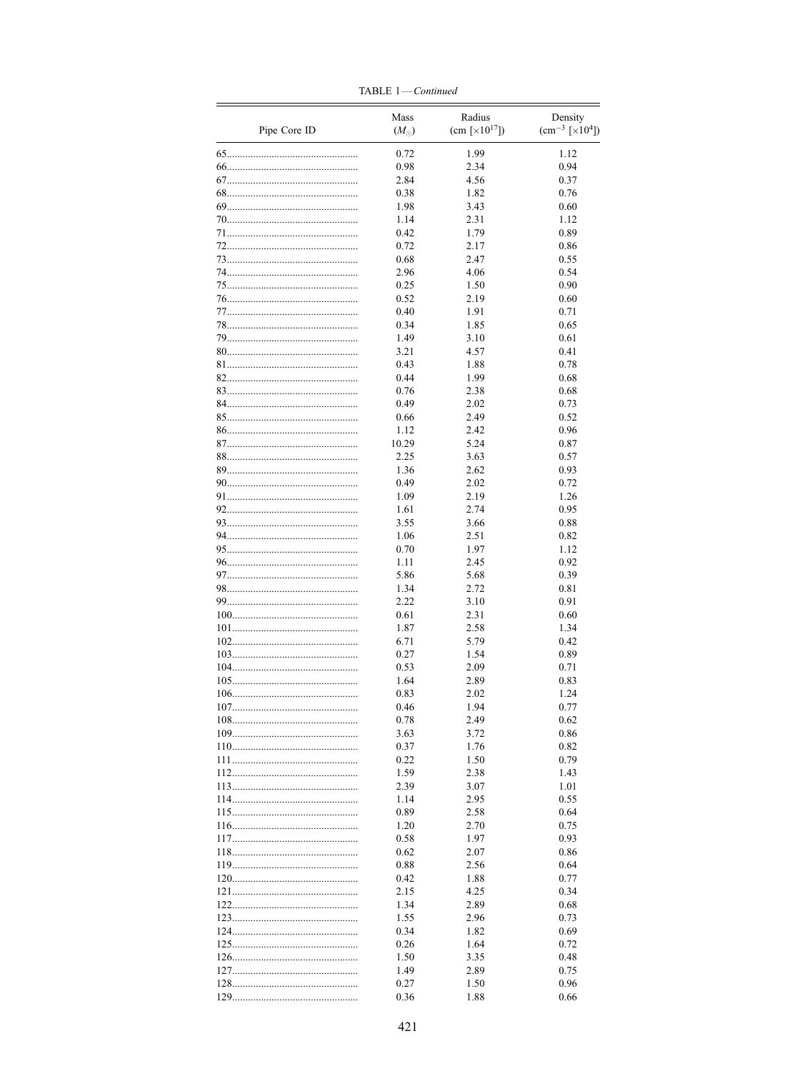| Pipe Core ID | Mass<br>$(M_{\odot})$ | Radius<br>(cm $[x10^{17}]$ ) | Density<br>$\rm (cm^{-3}$ [×10 <sup>4</sup> ]) |
|--------------|-----------------------|------------------------------|------------------------------------------------|
|              | 0.72                  | 1.99                         | 1.12                                           |
|              | 0.98                  | 2.34                         | 0.94                                           |
|              | 2.84                  | 4.56                         | 0.37                                           |
|              | 0.38                  | 1.82                         | 0.76                                           |
|              | 1.98                  | 3.43                         | 0.60                                           |
|              | 1.14                  | 2.31                         | 1.12                                           |
|              | 0.42                  | 1.79                         | 0.89                                           |
|              | 0.72                  | 2.17                         | 0.86                                           |
|              | 0.68                  | 2.47                         | 0.55                                           |
|              | 2.96                  | 4.06<br>1.50                 | 0.54<br>0.90                                   |
|              | 0.25<br>0.52          | 2.19                         | 0.60                                           |
|              | 0.40                  | 1.91                         | 0.71                                           |
|              | 0.34                  | 1.85                         | 0.65                                           |
|              | 1.49                  | 3.10                         | 0.61                                           |
|              | 3.21                  | 4.57                         | 0.41                                           |
|              | 0.43                  | 1.88                         | 0.78                                           |
|              | 0.44                  | 1.99                         | 0.68                                           |
|              | 0.76                  | 2.38                         | 0.68                                           |
|              | 0.49                  | 2.02                         | 0.73                                           |
|              | 0.66                  | 2.49                         | 0.52                                           |
|              | 1.12                  | 2.42                         | 0.96                                           |
|              | 10.29                 | 5.24                         | 0.87                                           |
|              | 2.25                  | 3.63                         | 0.57                                           |
|              | 1.36                  | 2.62                         | 0.93                                           |
|              | 0.49<br>1.09          | 2.02<br>2.19                 | 0.72<br>1.26                                   |
|              | 1.61                  | 2.74                         | 0.95                                           |
|              | 3.55                  | 3.66                         | 0.88                                           |
|              | 1.06                  | 2.51                         | 0.82                                           |
|              | 0.70                  | 1.97                         | 1.12                                           |
|              | 1.11                  | 2.45                         | 0.92                                           |
|              | 5.86                  | 5.68                         | 0.39                                           |
|              | 1.34                  | 2.72                         | 0.81                                           |
|              | 2.22                  | 3.10                         | 0.91                                           |
|              | 0.61                  | 2.31                         | 0.60                                           |
|              | 1.87                  | 2.58                         | 1.34                                           |
|              | 6.71                  | 5.79                         | 0.42                                           |
|              | 0.27<br>0.53          | 1.54<br>2.09                 | 0.89<br>0.71                                   |
|              | 1.64                  | 2.89                         | 0.83                                           |
|              | 0.83                  | 2.02                         | 1.24                                           |
|              | 0.46                  | 1.94                         | 0.77                                           |
|              | 0.78                  | 2.49                         | 0.62                                           |
|              | 3.63                  | 3.72                         | 0.86                                           |
|              | 0.37                  | 1.76                         | 0.82                                           |
|              | 0.22                  | 1.50                         | 0.79                                           |
|              | 1.59                  | 2.38                         | 1.43                                           |
|              | 2.39                  | 3.07                         | 1.01                                           |
|              | 1.14                  | 2.95                         | 0.55                                           |
|              | 0.89<br>1.20          | 2.58<br>2.70                 | 0.64<br>0.75                                   |
|              | 0.58                  | 1.97                         | 0.93                                           |
|              | 0.62                  | 2.07                         | 0.86                                           |
|              | 0.88                  | 2.56                         | 0.64                                           |
|              | 0.42                  | 1.88                         | 0.77                                           |
|              | 2.15                  | 4.25                         | 0.34                                           |
|              | 1.34                  | 2.89                         | 0.68                                           |
|              | 1.55                  | 2.96                         | 0.73                                           |
|              | 0.34                  | 1.82                         | 0.69                                           |
|              | 0.26                  | 1.64                         | 0.72                                           |
|              | 1.50                  | 3.35                         | 0.48                                           |
|              | 1.49                  | 2.89                         | 0.75                                           |
|              | 0.27                  | 1.50                         | 0.96                                           |
|              | 0.36                  | 1.88                         | 0.66                                           |